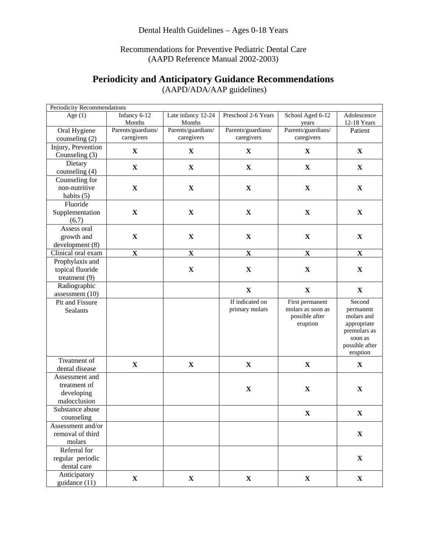## Recommendations for Preventive Pediatric Dental Care (AAPD Reference Manual 2002-2003)

## **Periodicity and Anticipatory Guidance Recommendations**

| Periodicity Recommendations           |                                  |                                  |                                  |                                     |                            |
|---------------------------------------|----------------------------------|----------------------------------|----------------------------------|-------------------------------------|----------------------------|
| Age $(1)$                             | Infancy 6-12<br>Months           | Late infancy 12-24<br>Months     | Preschool 2-6 Years              | School Aged 6-12<br>years           | Adolescence<br>12-18 Years |
| Oral Hygiene<br>counseling (2)        | Parents/guardians/<br>caregivers | Parents/guardians/<br>caregivers | Parents/guardians/<br>caregivers | Parents/guardians/<br>caregivers    | Patient                    |
| Injury, Prevention                    | $\mathbf X$                      | $\mathbf X$                      | $\mathbf X$                      | $\mathbf X$                         | $\mathbf X$                |
| Counseling (3)                        |                                  |                                  |                                  |                                     |                            |
| Dietary                               | $\mathbf X$                      | $\mathbf X$                      | $\mathbf X$                      | $\mathbf X$                         | $\mathbf X$                |
| counseling (4)                        |                                  |                                  |                                  |                                     |                            |
| Counseling for                        |                                  |                                  |                                  |                                     |                            |
| non-nutritive                         | $\mathbf X$                      | $\mathbf X$                      | $\mathbf X$                      | $\mathbf X$                         | $\mathbf X$                |
| habits (5)                            |                                  |                                  |                                  |                                     |                            |
| Fluoride                              |                                  |                                  |                                  |                                     |                            |
| Supplementation                       | $\mathbf X$                      | $\mathbf X$                      | $\mathbf X$                      | $\mathbf X$                         | $\mathbf X$                |
| (6,7)                                 |                                  |                                  |                                  |                                     |                            |
| Assess oral                           |                                  |                                  |                                  |                                     |                            |
| growth and                            | $\mathbf X$                      | $\mathbf X$                      | $\mathbf X$                      | $\mathbf X$                         | $\mathbf X$                |
| development (8)                       |                                  |                                  |                                  |                                     |                            |
| Clinical oral exam                    | $\mathbf X$                      | $\mathbf X$                      | $\mathbf X$                      | $\mathbf X$                         | $\mathbf X$                |
| Prophylaxis and                       |                                  |                                  |                                  |                                     |                            |
| topical fluoride                      |                                  | $\mathbf X$                      | $\mathbf X$                      | $\mathbf X$                         | $\mathbf X$                |
| treatment $(9)$                       |                                  |                                  |                                  |                                     |                            |
| Radiographic                          |                                  |                                  | $\mathbf X$                      | $\mathbf X$                         | $\mathbf X$                |
| assessment $(10)$                     |                                  |                                  |                                  |                                     |                            |
| Pit and Fissure                       |                                  |                                  | If indicated on                  | First permanent                     | Second                     |
| Sealants                              |                                  |                                  | primary molars                   | molars as soon as<br>possible after | permanent<br>molars and    |
|                                       |                                  |                                  |                                  | eruption                            | appropriate                |
|                                       |                                  |                                  |                                  |                                     | premolars as               |
|                                       |                                  |                                  |                                  |                                     | soon as                    |
|                                       |                                  |                                  |                                  |                                     | possible after             |
|                                       |                                  |                                  |                                  |                                     | eruption                   |
| Treatment of                          | $\mathbf X$                      | $\mathbf X$                      | $\mathbf X$                      | $\mathbf X$                         | $\mathbf X$                |
| dental disease                        |                                  |                                  |                                  |                                     |                            |
| Assessment and                        |                                  |                                  |                                  |                                     |                            |
| treatment of                          |                                  |                                  | $\mathbf X$                      | $\mathbf X$                         | $\mathbf X$                |
| developing                            |                                  |                                  |                                  |                                     |                            |
| malocclusion<br>Substance abuse       |                                  |                                  |                                  |                                     |                            |
|                                       |                                  |                                  |                                  | $\mathbf X$                         | $\mathbf X$                |
| counseling                            |                                  |                                  |                                  |                                     |                            |
| Assessment and/or<br>removal of third |                                  |                                  |                                  |                                     | $\mathbf X$                |
| molars                                |                                  |                                  |                                  |                                     |                            |
| Referral for                          |                                  |                                  |                                  |                                     |                            |
| regular periodic                      |                                  |                                  |                                  |                                     | $\mathbf X$                |
| dental care                           |                                  |                                  |                                  |                                     |                            |
| Anticipatory                          |                                  |                                  |                                  |                                     |                            |
| guidance (11)                         | $\mathbf X$                      | $\mathbf X$                      | X                                | $\mathbf X$                         | $\mathbf X$                |
|                                       |                                  |                                  |                                  |                                     |                            |

(AAPD/ADA/AAP guidelines)